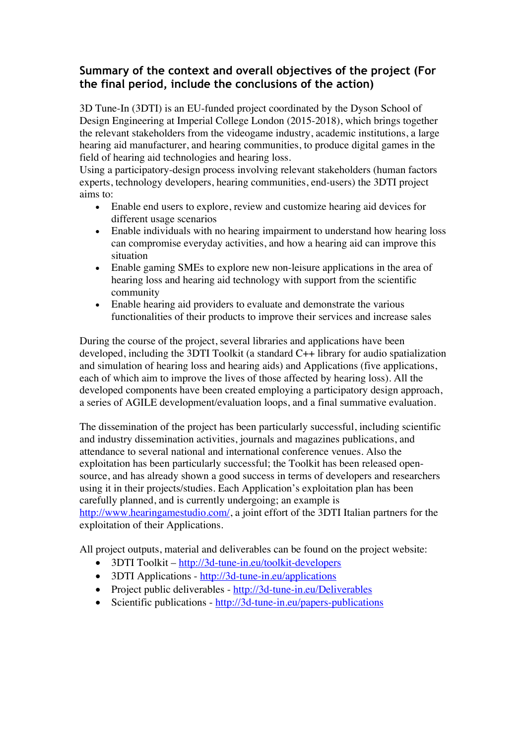## **Summary of the context and overall objectives of the project (For the final period, include the conclusions of the action)**

3D Tune-In (3DTI) is an EU-funded project coordinated by the Dyson School of Design Engineering at Imperial College London (2015-2018), which brings together the relevant stakeholders from the videogame industry, academic institutions, a large hearing aid manufacturer, and hearing communities, to produce digital games in the field of hearing aid technologies and hearing loss.

Using a participatory-design process involving relevant stakeholders (human factors experts, technology developers, hearing communities, end-users) the 3DTI project aims to:

- Enable end users to explore, review and customize hearing aid devices for different usage scenarios
- Enable individuals with no hearing impairment to understand how hearing loss can compromise everyday activities, and how a hearing aid can improve this situation
- Enable gaming SMEs to explore new non-leisure applications in the area of hearing loss and hearing aid technology with support from the scientific community
- Enable hearing aid providers to evaluate and demonstrate the various functionalities of their products to improve their services and increase sales

During the course of the project, several libraries and applications have been developed, including the 3DTI Toolkit (a standard C++ library for audio spatialization and simulation of hearing loss and hearing aids) and Applications (five applications, each of which aim to improve the lives of those affected by hearing loss). All the developed components have been created employing a participatory design approach, a series of AGILE development/evaluation loops, and a final summative evaluation.

The dissemination of the project has been particularly successful, including scientific and industry dissemination activities, journals and magazines publications, and attendance to several national and international conference venues. Also the exploitation has been particularly successful; the Toolkit has been released opensource, and has already shown a good success in terms of developers and researchers using it in their projects/studies. Each Application's exploitation plan has been carefully planned, and is currently undergoing; an example is http://www.hearingamestudio.com/, a joint effort of the 3DTI Italian partners for the exploitation of their Applications.

All project outputs, material and deliverables can be found on the project website:

- 3DTI Toolkit http://3d-tune-in.eu/toolkit-developers
- 3DTI Applications http://3d-tune-in.eu/applications
- Project public deliverables http://3d-tune-in.eu/Deliverables
- Scientific publications http://3d-tune-in.eu/papers-publications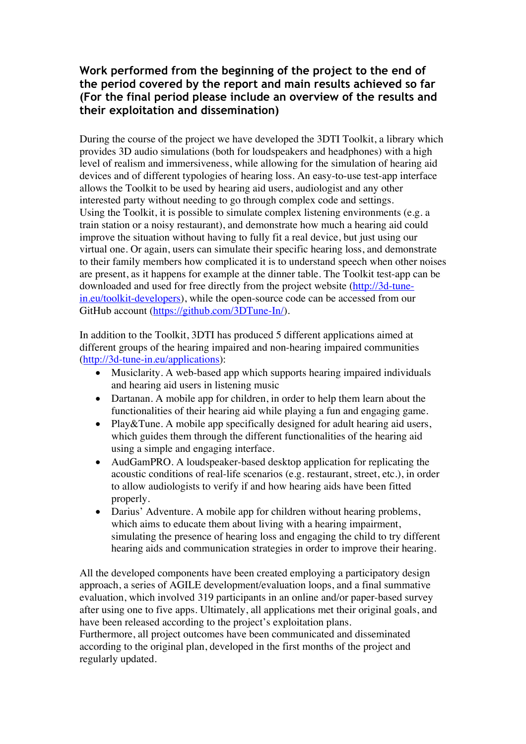#### **Work performed from the beginning of the project to the end of the period covered by the report and main results achieved so far (For the final period please include an overview of the results and their exploitation and dissemination)**

During the course of the project we have developed the 3DTI Toolkit, a library which provides 3D audio simulations (both for loudspeakers and headphones) with a high level of realism and immersiveness, while allowing for the simulation of hearing aid devices and of different typologies of hearing loss. An easy-to-use test-app interface allows the Toolkit to be used by hearing aid users, audiologist and any other interested party without needing to go through complex code and settings. Using the Toolkit, it is possible to simulate complex listening environments (e.g. a train station or a noisy restaurant), and demonstrate how much a hearing aid could improve the situation without having to fully fit a real device, but just using our virtual one. Or again, users can simulate their specific hearing loss, and demonstrate to their family members how complicated it is to understand speech when other noises are present, as it happens for example at the dinner table. The Toolkit test-app can be downloaded and used for free directly from the project website (http://3d-tunein.eu/toolkit-developers), while the open-source code can be accessed from our GitHub account (https://github.com/3DTune-In/).

In addition to the Toolkit, 3DTI has produced 5 different applications aimed at different groups of the hearing impaired and non-hearing impaired communities (http://3d-tune-in.eu/applications):

- Musiclarity. A web-based app which supports hearing impaired individuals and hearing aid users in listening music
- Dartanan. A mobile app for children, in order to help them learn about the functionalities of their hearing aid while playing a fun and engaging game.
- Play&Tune. A mobile app specifically designed for adult hearing aid users, which guides them through the different functionalities of the hearing aid using a simple and engaging interface.
- AudGamPRO. A loudspeaker-based desktop application for replicating the acoustic conditions of real-life scenarios (e.g. restaurant, street, etc.), in order to allow audiologists to verify if and how hearing aids have been fitted properly.
- Darius' Adventure. A mobile app for children without hearing problems, which aims to educate them about living with a hearing impairment, simulating the presence of hearing loss and engaging the child to try different hearing aids and communication strategies in order to improve their hearing.

All the developed components have been created employing a participatory design approach, a series of AGILE development/evaluation loops, and a final summative evaluation, which involved 319 participants in an online and/or paper-based survey after using one to five apps. Ultimately, all applications met their original goals, and have been released according to the project's exploitation plans.

Furthermore, all project outcomes have been communicated and disseminated according to the original plan, developed in the first months of the project and regularly updated.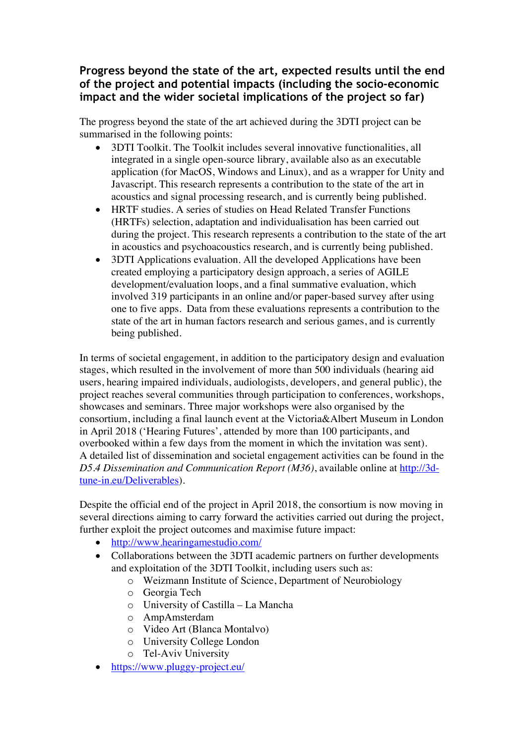## **Progress beyond the state of the art, expected results until the end of the project and potential impacts (including the socio-economic impact and the wider societal implications of the project so far)**

The progress beyond the state of the art achieved during the 3DTI project can be summarised in the following points:

- 3DTI Toolkit. The Toolkit includes several innovative functionalities, all integrated in a single open-source library, available also as an executable application (for MacOS, Windows and Linux), and as a wrapper for Unity and Javascript. This research represents a contribution to the state of the art in acoustics and signal processing research, and is currently being published.
- HRTF studies. A series of studies on Head Related Transfer Functions (HRTFs) selection, adaptation and individualisation has been carried out during the project. This research represents a contribution to the state of the art in acoustics and psychoacoustics research, and is currently being published.
- 3DTI Applications evaluation. All the developed Applications have been created employing a participatory design approach, a series of AGILE development/evaluation loops, and a final summative evaluation, which involved 319 participants in an online and/or paper-based survey after using one to five apps. Data from these evaluations represents a contribution to the state of the art in human factors research and serious games, and is currently being published.

In terms of societal engagement, in addition to the participatory design and evaluation stages, which resulted in the involvement of more than 500 individuals (hearing aid users, hearing impaired individuals, audiologists, developers, and general public), the project reaches several communities through participation to conferences, workshops, showcases and seminars. Three major workshops were also organised by the consortium, including a final launch event at the Victoria&Albert Museum in London in April 2018 ('Hearing Futures', attended by more than 100 participants, and overbooked within a few days from the moment in which the invitation was sent). A detailed list of dissemination and societal engagement activities can be found in the *D5.4 Dissemination and Communication Report (M36)*, available online at http://3dtune-in.eu/Deliverables).

Despite the official end of the project in April 2018, the consortium is now moving in several directions aiming to carry forward the activities carried out during the project, further exploit the project outcomes and maximise future impact:

- http://www.hearingamestudio.com/
- Collaborations between the 3DTI academic partners on further developments and exploitation of the 3DTI Toolkit, including users such as:
	- o Weizmann Institute of Science, Department of Neurobiology
	- o Georgia Tech
	- o University of Castilla La Mancha
	- o AmpAmsterdam
	- o Video Art (Blanca Montalvo)
	- o University College London
	- o Tel-Aviv University
- https://www.pluggy-project.eu/